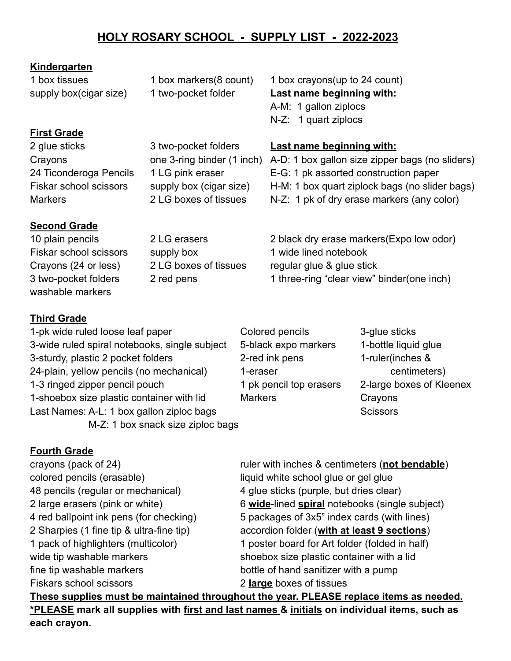# **HOLY ROSARY SCHOOL - SUPPLY LIST - 2022-2023**

#### **Kindergarten**

## **First Grade**

### **Second Grade**

washable markers

1 box tissues 1 box markers(8 count) 1 box crayons(up to 24 count)

supply box(cigar size) 1 two-pocket folder **Last name beginning with:** A-M: 1 gallon ziplocs N-Z: 1 quart ziplocs

#### 2 glue sticks 3 two-pocket folders **Last name beginning with:**

Crayons one 3-ring binder (1 inch) A-D: 1 box gallon size zipper bags (no sliders) 24 Ticonderoga Pencils 1 LG pink eraser E-G: 1 pk assorted construction paper Fiskar school scissors supply box (cigar size) H-M: 1 box quart ziplock bags (no slider bags) Markers 2 LG boxes of tissues N-Z: 1 pk of dry erase markers (any color)

10 plain pencils 2 LG erasers 2 black dry erase markers(Expo low odor) Fiskar school scissors supply box 1 wide lined notebook Crayons (24 or less) 2 LG boxes of tissues regular glue & glue stick 3 two-pocket folders 2 red pens 1 three-ring "clear view" binder(one inch)

## **Third Grade**

1-pk wide ruled loose leaf paper Colored pencils 3-glue sticks 3-wide ruled spiral notebooks, single subject 5-black expo markers 1-bottle liquid glue 3-sturdy, plastic 2 pocket folders 2-red ink pens 1-ruler(inches & 24-plain, yellow pencils (no mechanical) and 1-eraser and the centimeters) 1-3 ringed zipper pencil pouch 1 pk pencil top erasers 2-large boxes of Kleenex 1-shoebox size plastic container with lid Markers Crayons Last Names: A-L: 1 box gallon ziploc bags Scissors Scissors Scissors M-Z: 1 box snack size ziploc bags

### **Fourth Grade**

crayons (pack of 24) ruler with inches & centimeters (**not bendable**) colored pencils (erasable) liquid white school glue or gel glue 48 pencils (regular or mechanical) 4 glue sticks (purple, but dries clear) fine tip washable markers bottle of hand sanitizer with a pump Fiskars school scissors 2 **large** boxes of tissues

2 large erasers (pink or white) 6 **wide**-lined **spiral** notebooks (single subject) 4 red ballpoint ink pens (for checking) 5 packages of 3x5" index cards (with lines) 2 Sharpies (1 fine tip & ultra-fine tip) accordion folder (**with at least 9 sections**) 1 pack of highlighters (multicolor) 1 poster board for Art folder (folded in half) wide tip washable markers shoebox size plastic container with a lid

**These supplies must be maintained throughout the year. PLEASE replace items as needed. \*PLEASE mark all supplies with first and last names & initials on individual items, such as each crayon.**